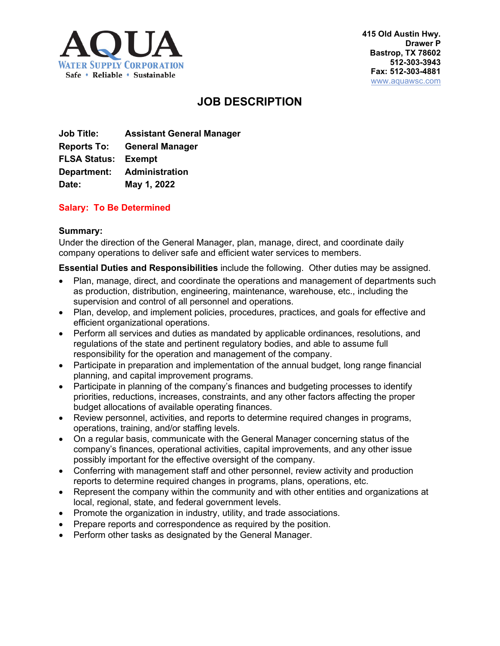

# **JOB DESCRIPTION**

**Job Title: Assistant General Manager Reports To: General Manager FLSA Status: Exempt Department: Administration Date: May 1, 2022**

# **Salary: To Be Determined**

## **Summary:**

Under the direction of the General Manager, plan, manage, direct, and coordinate daily company operations to deliver safe and efficient water services to members.

**Essential Duties and Responsibilities** include the following. Other duties may be assigned.

- Plan, manage, direct, and coordinate the operations and management of departments such as production, distribution, engineering, maintenance, warehouse, etc., including the supervision and control of all personnel and operations.
- Plan, develop, and implement policies, procedures, practices, and goals for effective and efficient organizational operations.
- Perform all services and duties as mandated by applicable ordinances, resolutions, and regulations of the state and pertinent regulatory bodies, and able to assume full responsibility for the operation and management of the company.
- Participate in preparation and implementation of the annual budget, long range financial planning, and capital improvement programs.
- Participate in planning of the company's finances and budgeting processes to identify priorities, reductions, increases, constraints, and any other factors affecting the proper budget allocations of available operating finances.
- Review personnel, activities, and reports to determine required changes in programs, operations, training, and/or staffing levels.
- On a regular basis, communicate with the General Manager concerning status of the company's finances, operational activities, capital improvements, and any other issue possibly important for the effective oversight of the company.
- Conferring with management staff and other personnel, review activity and production reports to determine required changes in programs, plans, operations, etc.
- Represent the company within the community and with other entities and organizations at local, regional, state, and federal government levels.
- Promote the organization in industry, utility, and trade associations.
- Prepare reports and correspondence as required by the position.
- Perform other tasks as designated by the General Manager.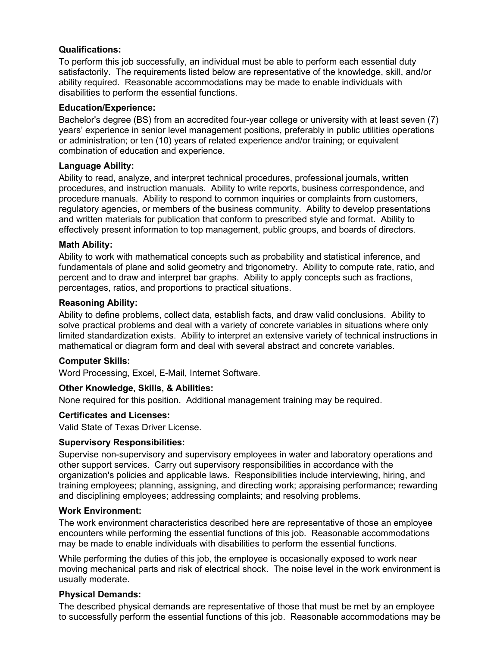# **Qualifications:**

To perform this job successfully, an individual must be able to perform each essential duty satisfactorily. The requirements listed below are representative of the knowledge, skill, and/or ability required. Reasonable accommodations may be made to enable individuals with disabilities to perform the essential functions.

## **Education/Experience:**

Bachelor's degree (BS) from an accredited four-year college or university with at least seven (7) years' experience in senior level management positions, preferably in public utilities operations or administration; or ten (10) years of related experience and/or training; or equivalent combination of education and experience.

## **Language Ability:**

Ability to read, analyze, and interpret technical procedures, professional journals, written procedures, and instruction manuals. Ability to write reports, business correspondence, and procedure manuals. Ability to respond to common inquiries or complaints from customers, regulatory agencies, or members of the business community. Ability to develop presentations and written materials for publication that conform to prescribed style and format. Ability to effectively present information to top management, public groups, and boards of directors.

## **Math Ability:**

Ability to work with mathematical concepts such as probability and statistical inference, and fundamentals of plane and solid geometry and trigonometry. Ability to compute rate, ratio, and percent and to draw and interpret bar graphs. Ability to apply concepts such as fractions, percentages, ratios, and proportions to practical situations.

## **Reasoning Ability:**

Ability to define problems, collect data, establish facts, and draw valid conclusions. Ability to solve practical problems and deal with a variety of concrete variables in situations where only limited standardization exists. Ability to interpret an extensive variety of technical instructions in mathematical or diagram form and deal with several abstract and concrete variables.

## **Computer Skills:**

Word Processing, Excel, E-Mail, Internet Software.

## **Other Knowledge, Skills, & Abilities:**

None required for this position. Additional management training may be required.

#### **Certificates and Licenses:**

Valid State of Texas Driver License.

## **Supervisory Responsibilities:**

Supervise non-supervisory and supervisory employees in water and laboratory operations and other support services. Carry out supervisory responsibilities in accordance with the organization's policies and applicable laws. Responsibilities include interviewing, hiring, and training employees; planning, assigning, and directing work; appraising performance; rewarding and disciplining employees; addressing complaints; and resolving problems.

#### **Work Environment:**

The work environment characteristics described here are representative of those an employee encounters while performing the essential functions of this job. Reasonable accommodations may be made to enable individuals with disabilities to perform the essential functions.

While performing the duties of this job, the employee is occasionally exposed to work near moving mechanical parts and risk of electrical shock. The noise level in the work environment is usually moderate.

#### **Physical Demands:**

The described physical demands are representative of those that must be met by an employee to successfully perform the essential functions of this job. Reasonable accommodations may be